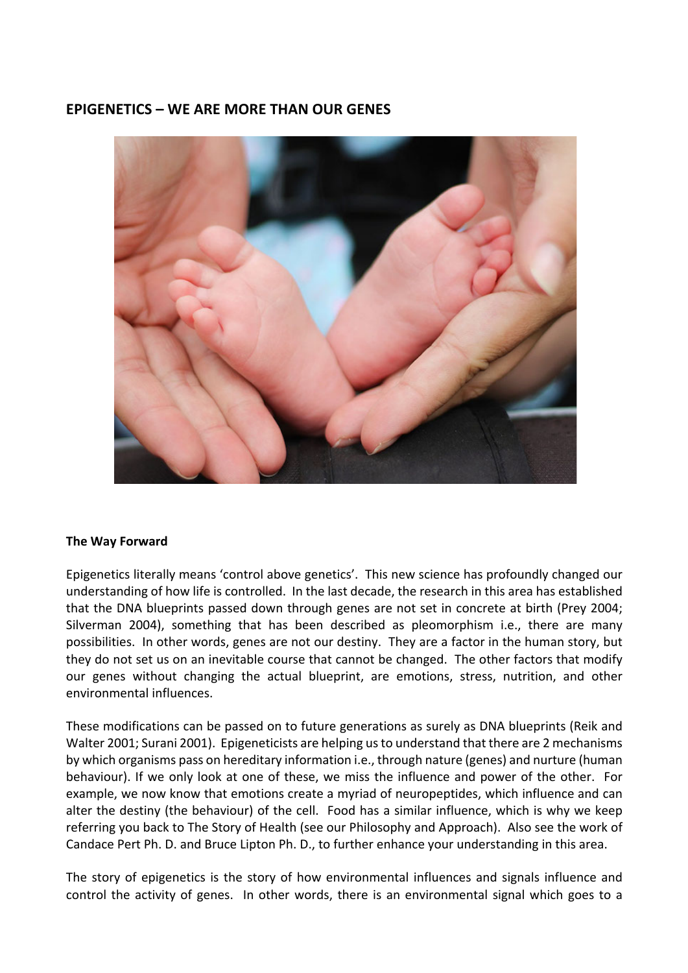# **EPIGENETICS – WE ARE MORE THAN OUR GENES**



### **The Way Forward**

Epigenetics literally means 'control above genetics'. This new science has profoundly changed our understanding of how life is controlled. In the last decade, the research in this area has established that the DNA blueprints passed down through genes are not set in concrete at birth (Prey 2004; Silverman 2004), something that has been described as pleomorphism i.e., there are many possibilities. In other words, genes are not our destiny. They are a factor in the human story, but they do not set us on an inevitable course that cannot be changed. The other factors that modify our genes without changing the actual blueprint, are emotions, stress, nutrition, and other environmental influences.

These modifications can be passed on to future generations as surely as DNA blueprints (Reik and Walter 2001; Surani 2001). Epigeneticists are helping us to understand that there are 2 mechanisms by which organisms pass on hereditary information i.e., through nature (genes) and nurture (human behaviour). If we only look at one of these, we miss the influence and power of the other. For example, we now know that emotions create a myriad of neuropeptides, which influence and can alter the destiny (the behaviour) of the cell. Food has a similar influence, which is why we keep referring you back to The Story of Health (see our Philosophy and Approach). Also see the work of Candace Pert Ph. D. and Bruce Lipton Ph. D., to further enhance your understanding in this area.

The story of epigenetics is the story of how environmental influences and signals influence and control the activity of genes. In other words, there is an environmental signal which goes to a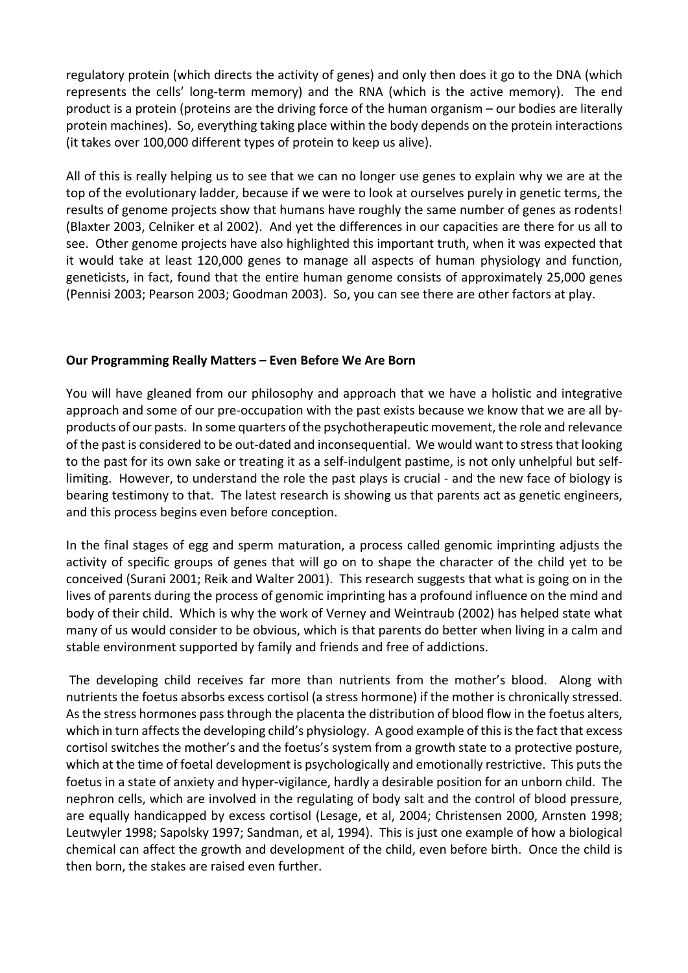regulatory protein (which directs the activity of genes) and only then does it go to the DNA (which represents the cells' long-term memory) and the RNA (which is the active memory). The end product is a protein (proteins are the driving force of the human organism – our bodies are literally protein machines). So, everything taking place within the body depends on the protein interactions (it takes over 100,000 different types of protein to keep us alive).

All of this is really helping us to see that we can no longer use genes to explain why we are at the top of the evolutionary ladder, because if we were to look at ourselves purely in genetic terms, the results of genome projects show that humans have roughly the same number of genes as rodents! (Blaxter 2003, Celniker et al 2002). And yet the differences in our capacities are there for us all to see. Other genome projects have also highlighted this important truth, when it was expected that it would take at least 120,000 genes to manage all aspects of human physiology and function, geneticists, in fact, found that the entire human genome consists of approximately 25,000 genes (Pennisi 2003; Pearson 2003; Goodman 2003). So, you can see there are other factors at play.

## **Our Programming Really Matters – Even Before We Are Born**

You will have gleaned from our philosophy and approach that we have a holistic and integrative approach and some of our pre-occupation with the past exists because we know that we are all byproducts of our pasts. In some quarters of the psychotherapeutic movement, the role and relevance of the past is considered to be out-dated and inconsequential. We would want to stress that looking to the past for its own sake or treating it as a self-indulgent pastime, is not only unhelpful but selflimiting. However, to understand the role the past plays is crucial - and the new face of biology is bearing testimony to that. The latest research is showing us that parents act as genetic engineers, and this process begins even before conception.

In the final stages of egg and sperm maturation, a process called genomic imprinting adjusts the activity of specific groups of genes that will go on to shape the character of the child yet to be conceived (Surani 2001; Reik and Walter 2001). This research suggests that what is going on in the lives of parents during the process of genomic imprinting has a profound influence on the mind and body of their child. Which is why the work of Verney and Weintraub (2002) has helped state what many of us would consider to be obvious, which is that parents do better when living in a calm and stable environment supported by family and friends and free of addictions.

The developing child receives far more than nutrients from the mother's blood. Along with nutrients the foetus absorbs excess cortisol (a stress hormone) if the mother is chronically stressed. As the stress hormones pass through the placenta the distribution of blood flow in the foetus alters, which in turn affects the developing child's physiology. A good example of this is the fact that excess cortisol switches the mother's and the foetus's system from a growth state to a protective posture, which at the time of foetal development is psychologically and emotionally restrictive. This puts the foetus in a state of anxiety and hyper-vigilance, hardly a desirable position for an unborn child. The nephron cells, which are involved in the regulating of body salt and the control of blood pressure, are equally handicapped by excess cortisol (Lesage, et al, 2004; Christensen 2000, Arnsten 1998; Leutwyler 1998; Sapolsky 1997; Sandman, et al, 1994). This is just one example of how a biological chemical can affect the growth and development of the child, even before birth. Once the child is then born, the stakes are raised even further.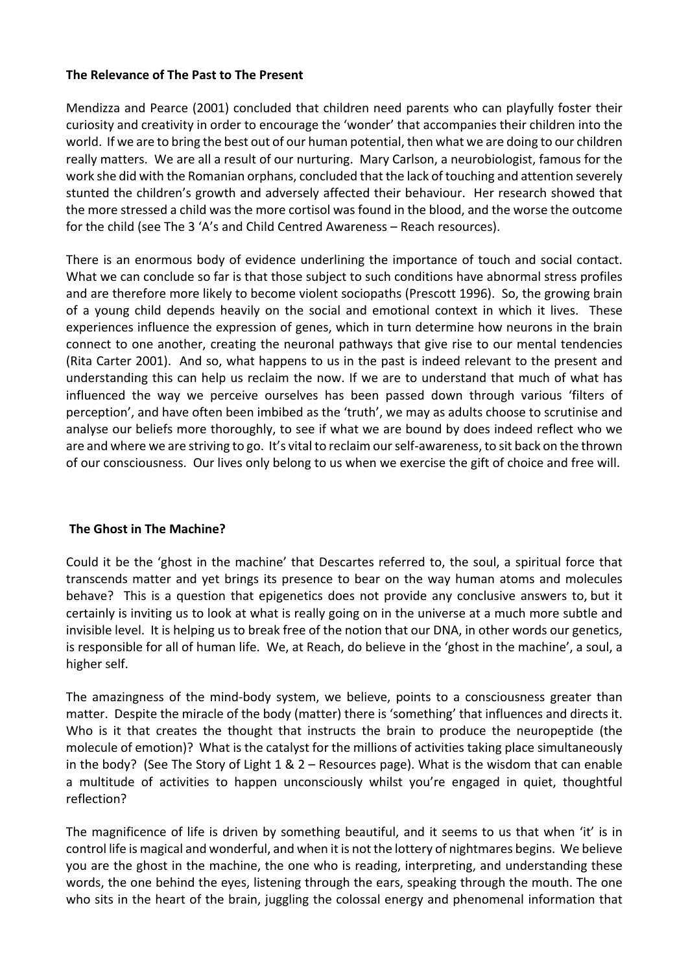## **The Relevance of The Past to The Present**

Mendizza and Pearce (2001) concluded that children need parents who can playfully foster their curiosity and creativity in order to encourage the 'wonder' that accompanies their children into the world. If we are to bring the best out of our human potential, then what we are doing to our children really matters. We are all a result of our nurturing. Mary Carlson, a neurobiologist, famous for the work she did with the Romanian orphans, concluded that the lack of touching and attention severely stunted the children's growth and adversely affected their behaviour. Her research showed that the more stressed a child was the more cortisol was found in the blood, and the worse the outcome for the child (see The 3 'A's and Child Centred Awareness – Reach resources).

There is an enormous body of evidence underlining the importance of touch and social contact. What we can conclude so far is that those subject to such conditions have abnormal stress profiles and are therefore more likely to become violent sociopaths (Prescott 1996). So, the growing brain of a young child depends heavily on the social and emotional context in which it lives. These experiences influence the expression of genes, which in turn determine how neurons in the brain connect to one another, creating the neuronal pathways that give rise to our mental tendencies (Rita Carter 2001). And so, what happens to us in the past is indeed relevant to the present and understanding this can help us reclaim the now. If we are to understand that much of what has influenced the way we perceive ourselves has been passed down through various 'filters of perception', and have often been imbibed as the 'truth', we may as adults choose to scrutinise and analyse our beliefs more thoroughly, to see if what we are bound by does indeed reflect who we are and where we are striving to go. It's vital to reclaim our self-awareness, to sit back on the thrown of our consciousness. Our lives only belong to us when we exercise the gift of choice and free will.

### **The Ghost in The Machine?**

Could it be the 'ghost in the machine' that Descartes referred to, the soul, a spiritual force that transcends matter and yet brings its presence to bear on the way human atoms and molecules behave? This is a question that epigenetics does not provide any conclusive answers to, but it certainly is inviting us to look at what is really going on in the universe at a much more subtle and invisible level. It is helping us to break free of the notion that our DNA, in other words our genetics, is responsible for all of human life. We, at Reach, do believe in the 'ghost in the machine', a soul, a higher self.

The amazingness of the mind-body system, we believe, points to a consciousness greater than matter. Despite the miracle of the body (matter) there is 'something' that influences and directs it. Who is it that creates the thought that instructs the brain to produce the neuropeptide (the molecule of emotion)? What is the catalyst for the millions of activities taking place simultaneously in the body? (See The Story of Light 1 & 2 – Resources page). What is the wisdom that can enable a multitude of activities to happen unconsciously whilst you're engaged in quiet, thoughtful reflection?

The magnificence of life is driven by something beautiful, and it seems to us that when 'it' is in control life is magical and wonderful, and when it is not the lottery of nightmares begins. We believe you are the ghost in the machine, the one who is reading, interpreting, and understanding these words, the one behind the eyes, listening through the ears, speaking through the mouth. The one who sits in the heart of the brain, juggling the colossal energy and phenomenal information that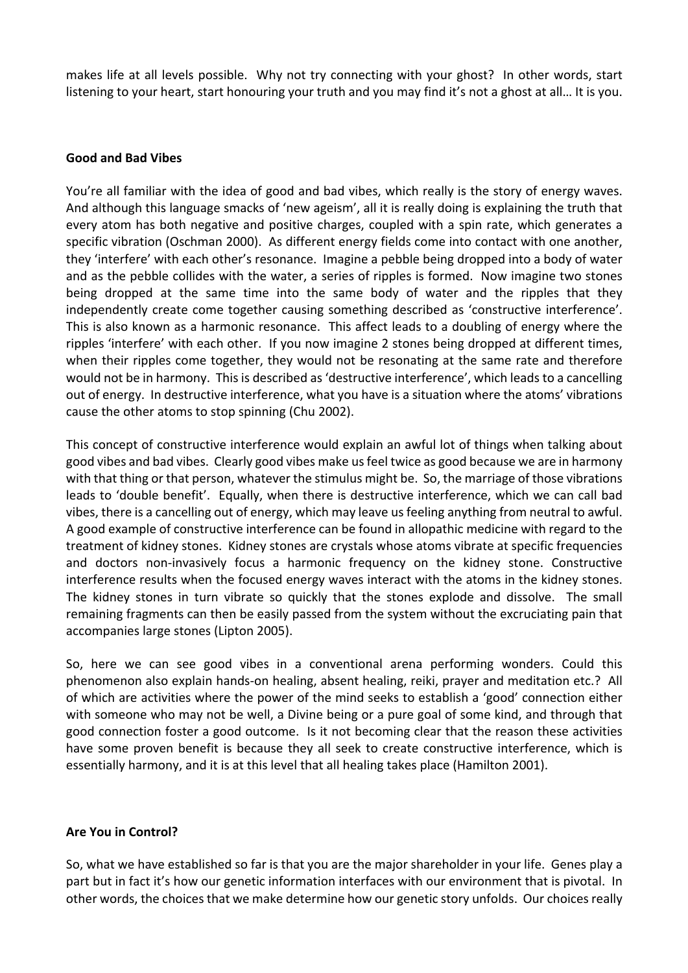makes life at all levels possible. Why not try connecting with your ghost? In other words, start listening to your heart, start honouring your truth and you may find it's not a ghost at all… It is you.

#### **Good and Bad Vibes**

You're all familiar with the idea of good and bad vibes, which really is the story of energy waves. And although this language smacks of 'new ageism', all it is really doing is explaining the truth that every atom has both negative and positive charges, coupled with a spin rate, which generates a specific vibration (Oschman 2000). As different energy fields come into contact with one another, they 'interfere' with each other's resonance. Imagine a pebble being dropped into a body of water and as the pebble collides with the water, a series of ripples is formed. Now imagine two stones being dropped at the same time into the same body of water and the ripples that they independently create come together causing something described as 'constructive interference'. This is also known as a harmonic resonance. This affect leads to a doubling of energy where the ripples 'interfere' with each other. If you now imagine 2 stones being dropped at different times, when their ripples come together, they would not be resonating at the same rate and therefore would not be in harmony. This is described as 'destructive interference', which leads to a cancelling out of energy. In destructive interference, what you have is a situation where the atoms' vibrations cause the other atoms to stop spinning (Chu 2002).

This concept of constructive interference would explain an awful lot of things when talking about good vibes and bad vibes. Clearly good vibes make us feel twice as good because we are in harmony with that thing or that person, whatever the stimulus might be. So, the marriage of those vibrations leads to 'double benefit'. Equally, when there is destructive interference, which we can call bad vibes, there is a cancelling out of energy, which may leave us feeling anything from neutral to awful. A good example of constructive interference can be found in allopathic medicine with regard to the treatment of kidney stones. Kidney stones are crystals whose atoms vibrate at specific frequencies and doctors non-invasively focus a harmonic frequency on the kidney stone. Constructive interference results when the focused energy waves interact with the atoms in the kidney stones. The kidney stones in turn vibrate so quickly that the stones explode and dissolve. The small remaining fragments can then be easily passed from the system without the excruciating pain that accompanies large stones (Lipton 2005).

So, here we can see good vibes in a conventional arena performing wonders. Could this phenomenon also explain hands-on healing, absent healing, reiki, prayer and meditation etc.? All of which are activities where the power of the mind seeks to establish a 'good' connection either with someone who may not be well, a Divine being or a pure goal of some kind, and through that good connection foster a good outcome. Is it not becoming clear that the reason these activities have some proven benefit is because they all seek to create constructive interference, which is essentially harmony, and it is at this level that all healing takes place (Hamilton 2001).

### **Are You in Control?**

So, what we have established so far is that you are the major shareholder in your life. Genes play a part but in fact it's how our genetic information interfaces with our environment that is pivotal. In other words, the choices that we make determine how our genetic story unfolds. Our choices really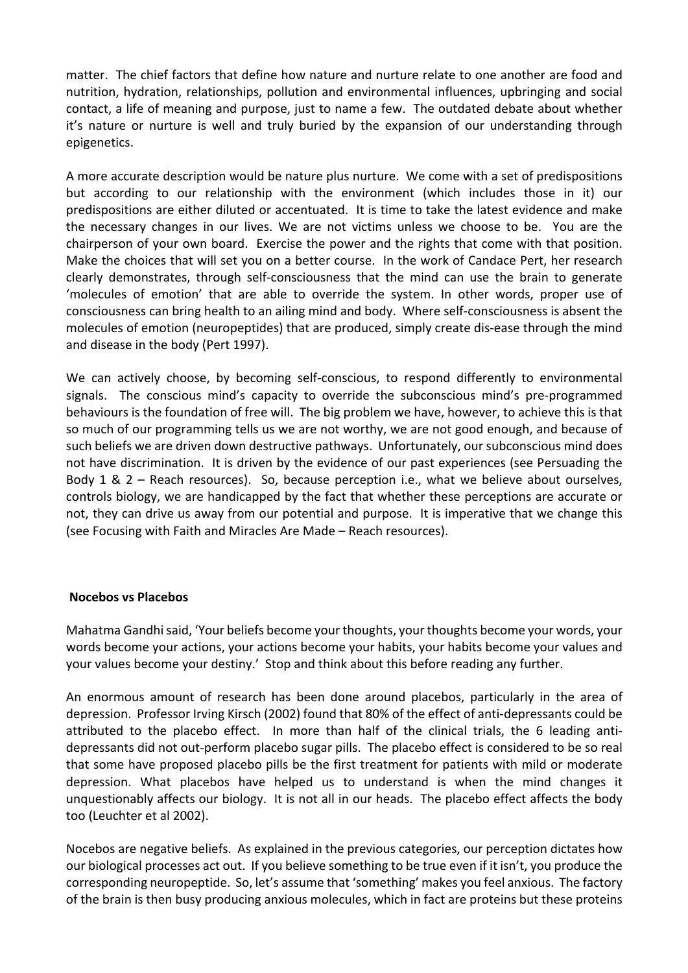matter. The chief factors that define how nature and nurture relate to one another are food and nutrition, hydration, relationships, pollution and environmental influences, upbringing and social contact, a life of meaning and purpose, just to name a few. The outdated debate about whether it's nature or nurture is well and truly buried by the expansion of our understanding through epigenetics.

A more accurate description would be nature plus nurture. We come with a set of predispositions but according to our relationship with the environment (which includes those in it) our predispositions are either diluted or accentuated. It is time to take the latest evidence and make the necessary changes in our lives. We are not victims unless we choose to be. You are the chairperson of your own board. Exercise the power and the rights that come with that position. Make the choices that will set you on a better course. In the work of Candace Pert, her research clearly demonstrates, through self-consciousness that the mind can use the brain to generate 'molecules of emotion' that are able to override the system. In other words, proper use of consciousness can bring health to an ailing mind and body. Where self-consciousness is absent the molecules of emotion (neuropeptides) that are produced, simply create dis-ease through the mind and disease in the body (Pert 1997).

We can actively choose, by becoming self-conscious, to respond differently to environmental signals. The conscious mind's capacity to override the subconscious mind's pre-programmed behaviours is the foundation of free will. The big problem we have, however, to achieve this is that so much of our programming tells us we are not worthy, we are not good enough, and because of such beliefs we are driven down destructive pathways. Unfortunately, our subconscious mind does not have discrimination. It is driven by the evidence of our past experiences (see Persuading the Body 1 & 2 – Reach resources). So, because perception i.e., what we believe about ourselves, controls biology, we are handicapped by the fact that whether these perceptions are accurate or not, they can drive us away from our potential and purpose. It is imperative that we change this (see Focusing with Faith and Miracles Are Made – Reach resources).

### **Nocebos vs Placebos**

Mahatma Gandhi said, 'Your beliefs become your thoughts, your thoughts become your words, your words become your actions, your actions become your habits, your habits become your values and your values become your destiny.' Stop and think about this before reading any further.

An enormous amount of research has been done around placebos, particularly in the area of depression. Professor Irving Kirsch (2002) found that 80% of the effect of anti-depressants could be attributed to the placebo effect. In more than half of the clinical trials, the 6 leading antidepressants did not out-perform placebo sugar pills. The placebo effect is considered to be so real that some have proposed placebo pills be the first treatment for patients with mild or moderate depression. What placebos have helped us to understand is when the mind changes it unquestionably affects our biology. It is not all in our heads. The placebo effect affects the body too (Leuchter et al 2002).

Nocebos are negative beliefs. As explained in the previous categories, our perception dictates how our biological processes act out. If you believe something to be true even if it isn't, you produce the corresponding neuropeptide. So, let's assume that 'something' makes you feel anxious. The factory of the brain is then busy producing anxious molecules, which in fact are proteins but these proteins